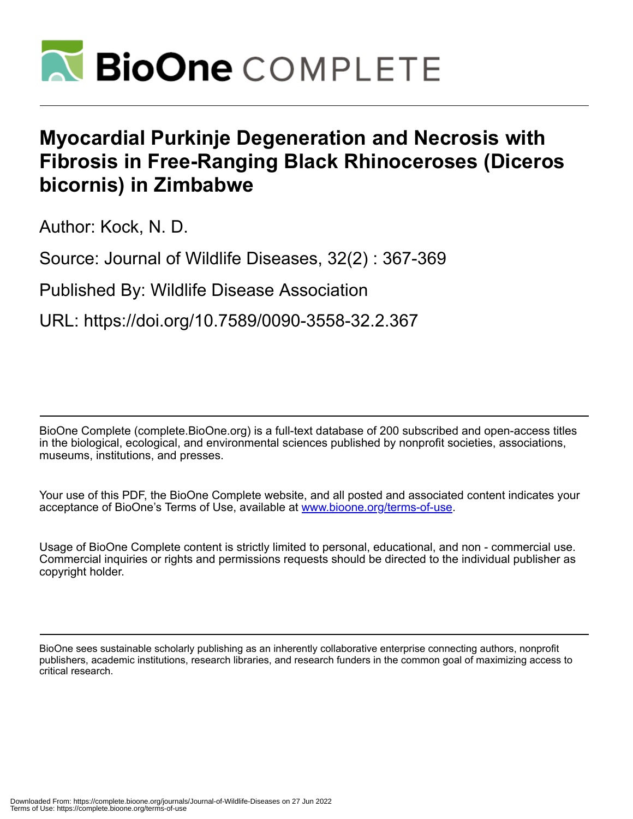

## **Myocardial Purkinje Degeneration and Necrosis with Fibrosis in Free-Ranging Black Rhinoceroses (Diceros bicornis) in Zimbabwe**

Author: Kock, N. D.

Source: Journal of Wildlife Diseases, 32(2) : 367-369

Published By: Wildlife Disease Association

URL: https://doi.org/10.7589/0090-3558-32.2.367

BioOne Complete (complete.BioOne.org) is a full-text database of 200 subscribed and open-access titles in the biological, ecological, and environmental sciences published by nonprofit societies, associations, museums, institutions, and presses.

Your use of this PDF, the BioOne Complete website, and all posted and associated content indicates your acceptance of BioOne's Terms of Use, available at www.bioone.org/terms-of-use.

Usage of BioOne Complete content is strictly limited to personal, educational, and non - commercial use. Commercial inquiries or rights and permissions requests should be directed to the individual publisher as copyright holder.

BioOne sees sustainable scholarly publishing as an inherently collaborative enterprise connecting authors, nonprofit publishers, academic institutions, research libraries, and research funders in the common goal of maximizing access to critical research.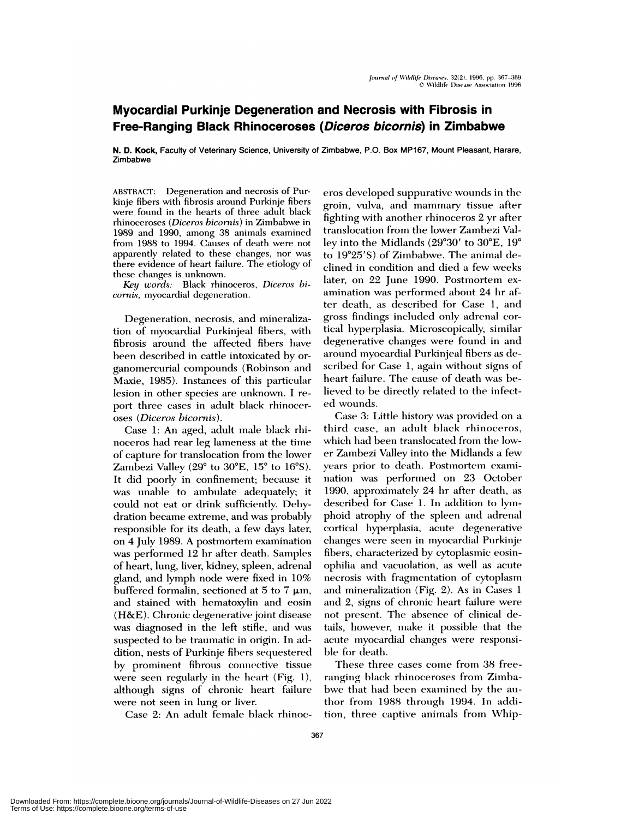## **Myocardial Purkinje Degeneration and Necrosis with Fibrosis in Free-Ranging Black Rhinoceroses (Diceros bicornis) in Zimbabwe**

**N. D. kock,** Faculty of Veterinary Science, University of Zimbabwe, P.O. Box MP167, Mount Pleasant, Harare, Zimbabwe

ABSTRACT: Degeneration and necrosis of Purkinje fibers with fibrosis around Purkinje fibers were found in the hearts of three adult black riminocemoses *(Diceros bicornis)* in Zimbabwe in 1989 and 1990, among 38 animals examined from 1988 to 1994. Causes of death were not apparently related to these changes, nor was there evidence of heart failure. The etiology of these changes is unknown.

*Key words:* Black rhinoceros, *Diceros hicornis*, myocardial degeneration.

Degeneration, necrosis, and mineralization of myocardial Purkinjeal fibers, with fibrosis around the affected fibers have been described in cattle intoxicated by or ganomercurial compounds (Robinson and Maxie, 1985). Instances of this particular lesion in other species are unknown. I re port three cases in adult black rhinocer oses *(Diceros bicornis).*

Case 1: An aged, adult male black rhinoceros had rear leg lameness at the time of capture for translocation from the lower Zambezi Valley (29 $^{\circ}$  to 30 $^{\circ}$ E, 15 $^{\circ}$  to 16 $^{\circ}$ S). It did poorly in confinement; because it was unable to ambulate adequately; it could not eat or drink sufficiently. Dehydration became extreme, and was probably responsible for its death, a few days later, on 4 July 1989. A postmortem examination was performed 12 hr after death. Samples of heart, lung, liver, kidney, spleen, adrenal gland, and lymph node were fixed in  $10\%$ buffered formalin, sectioned at 5 to 7  $\mu$ m, and stained with hematoxyhin and eosin (H&E). Chronic degenerative joint disease was diagnosed in the left stifle, and was suspected to be traumatic in origin. In addition, nests of Purkinje fibers sequestered by prominent fibrous connective tissue were seen regularly in the heart (Fig. 1), although signs of chronic heart failure were not seen in lung or liver.

Case 2: An adult female black rhinoc-

eros developed suppurative wounds in the groin, vulva, and mammary tissue after fighting with another rhinoceros  $2$  yr after translocation from the lower Zambezi Valley into the Midlands  $(29°30'$  to  $30°E$ ,  $19°$ to  $19^{\circ}25'$ S) of Zimbabwe. The animal declined in condition and died a few weeks later, on 22 June 1990. Postmortem examination was performed about 24 hr after death, as described for Case 1, and gross findings included only adrenal cor tical hyperplasia. Microscopically, similar degenerative changes were found in and around myocardial Purkinjeal fibers as described for Case 1, again without signs of heart failure. The cause of death was believed to be directly related to the infected wounds.

Case 3: Little history was provided on a third case, an adult black rhinoceros, which had been translocated from the lower Zambezi Valley into the Midlands a few years prior to death. Postmortem examination was performed on 23 October 1990, approximately 24 hr after death, as described for Case 1. In addition to lymphoid atrophy of the spleen and adrenal cortical hyperplasia, acute degenerative changes were seen in myocardial Purkinje fibers, characterized by cytoplasmic eosinophilia and vacuolation, as well as acute necrosis with fragmentation of cytoplasm and mineralization (Fig. 2). As in Cases 1 and 2, signs of chronic heart failure were not present. The absence of clinical details, however, make it possible that the acute myocardial changes were responsible for death.

These three cases come from 38 freeranging black rhinoceroses from Zimbabwe that had been examined by the author from 1988 through 1994. In addition, three captive animals from Whip-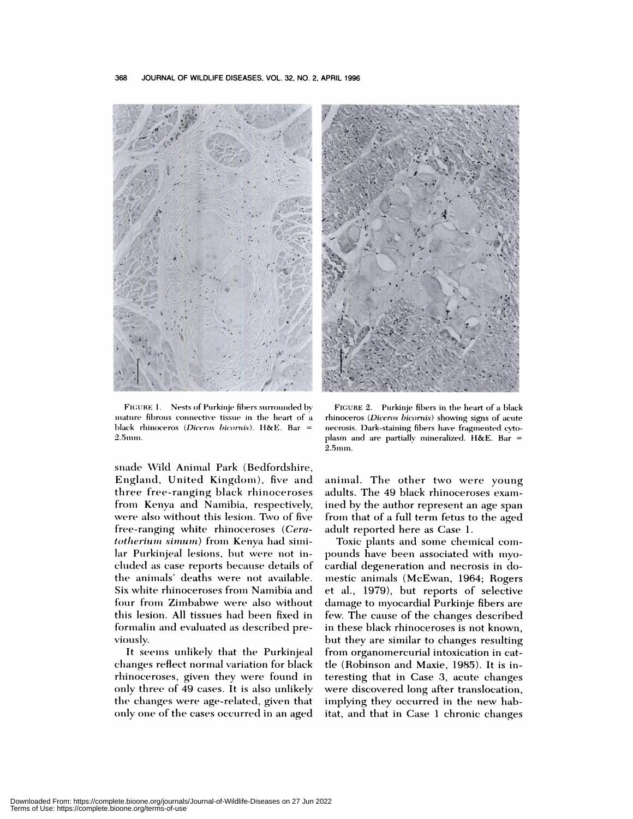

FIGURE 1. Nests of Purkinje fibers surrounded by mature fibrous connective tissue in the heart of a black rhinoceros (Diceros bicornis). H&E. Bar = 2.5mm.

snade Wild Animal Park (Bedfordshire, England, United Kingdom), five and three free-ranging black rhinoceroses from Kenya and Namibia, respectively, were also without this lesion. Two of five free-ranging white rhinoceroses (Ceratotherium simum) from Kenya had similar Purkinjeal lesions, but were not included as case reports because details of the animals' deaths were not available. Six white rhinoceroses from Namibia and four from Zimbabwe were also without this lesion. All tissues had been fixed in formalin and evaluated as described previously.

It seems unlikely that the Purkinjeal changes reflect normal variation for black rhinoceroses, given they were found in only three of 49 cases. It is also unlikely the changes were age-related, given that only one of the cases occurred in an aged



FIGURE 2. Purkinje fibers in the heart of a black rhinoceros (Diceros bicornis) showing signs of acute necrosis. Dark-staining fibers have fragmented cytoplasm and are partially mineralized. H&E. Bar = 2.5mm.

animal. The other two were young adults. The 49 black rhinoceroses examined by the author represent an age span from that of a full term fetus to the aged adult reported here as Case 1.

Toxic plants and some chemical compounds have been associated with myocardial degeneration and necrosis in domestic animals (McEwan, 1964; Rogers et al., 1979), but reports of selective damage to myocardial Purkinje fibers are few. The cause of the changes described in these black rhinoceroses is not known, but they are similar to changes resulting from organomercurial intoxication in cattle (Robinson and Maxie, 1985). It is interesting that in Case 3, acute changes were discovered long after translocation, implying they occurred in the new habitat, and that in Case 1 chronic changes